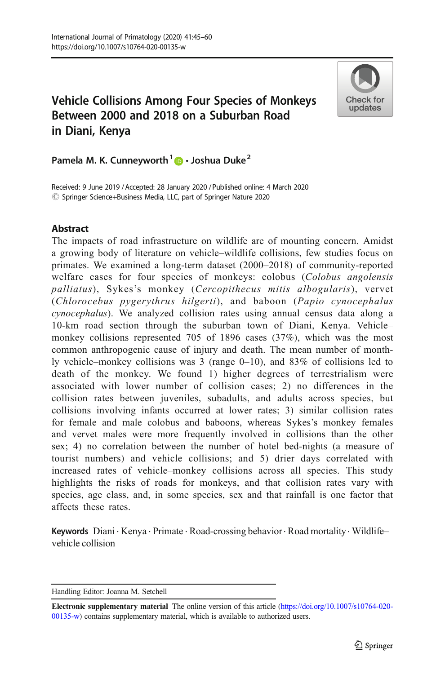# Vehicle Collisions Among Four Species of Monkeys Between 2000 and 2018 on a Suburban Road in Diani, Kenya



Pamela M. K. Cunneyworth<sup>1</sup>  $\cdot$  Joshua Duke<sup>2</sup>

Received: 9 June 2019 / Accepted: 28 January 2020 /Published online: 4 March 2020 © Springer Science+Business Media, LLC, part of Springer Nature 2020

# **Abstract**

The impacts of road infrastructure on wildlife are of mounting concern. Amidst a growing body of literature on vehicle–wildlife collisions, few studies focus on primates. We examined a long-term dataset (2000–2018) of community-reported welfare cases for four species of monkeys: colobus (Colobus angolensis palliatus), Sykes's monkey (Cercopithecus mitis albogularis), vervet (Chlorocebus pygerythrus hilgerti), and baboon (Papio cynocephalus cynocephalus). We analyzed collision rates using annual census data along a 10-km road section through the suburban town of Diani, Kenya. Vehicle– monkey collisions represented 705 of 1896 cases (37%), which was the most common anthropogenic cause of injury and death. The mean number of monthly vehicle–monkey collisions was 3 (range 0–10), and 83% of collisions led to death of the monkey. We found 1) higher degrees of terrestrialism were associated with lower number of collision cases; 2) no differences in the collision rates between juveniles, subadults, and adults across species, but collisions involving infants occurred at lower rates; 3) similar collision rates for female and male colobus and baboons, whereas Sykes's monkey females and vervet males were more frequently involved in collisions than the other sex; 4) no correlation between the number of hotel bed-nights (a measure of tourist numbers) and vehicle collisions; and 5) drier days correlated with increased rates of vehicle–monkey collisions across all species. This study highlights the risks of roads for monkeys, and that collision rates vary with species, age class, and, in some species, sex and that rainfall is one factor that affects these rates.

Keywords Diani . Kenya . Primate . Road-crossing behavior. Road mortality. Wildlife– vehicle collision

Handling Editor: Joanna M. Setchell

Electronic supplementary material The online version of this article [\(https://doi.org/10.1007/s10764-020-](https://doi.org/10.1007/s10764-020-00135-w) [00135-w](https://doi.org/10.1007/s10764-020-00135-w)) contains supplementary material, which is available to authorized users.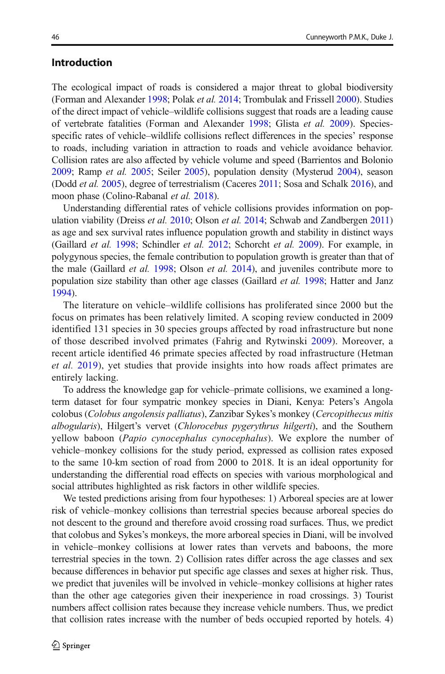# Introduction

The ecological impact of roads is considered a major threat to global biodiversity (Forman and Alexander [1998](#page-13-0); Polak et al. [2014;](#page-14-0) Trombulak and Frissell [2000](#page-15-0)). Studies of the direct impact of vehicle–wildlife collisions suggest that roads are a leading cause of vertebrate fatalities (Forman and Alexander [1998](#page-13-0); Glista et al. [2009](#page-13-0)). Speciesspecific rates of vehicle–wildlife collisions reflect differences in the species' response to roads, including variation in attraction to roads and vehicle avoidance behavior. Collision rates are also affected by vehicle volume and speed (Barrientos and Bolonio [2009;](#page-12-0) Ramp et al. [2005](#page-14-0); Seiler [2005\)](#page-15-0), population density (Mysterud [2004\)](#page-14-0), season (Dodd et al. [2005\)](#page-13-0), degree of terrestrialism (Caceres [2011](#page-12-0); Sosa and Schalk [2016](#page-15-0)), and moon phase (Colino-Rabanal et al. [2018](#page-13-0)).

Understanding differential rates of vehicle collisions provides information on pop-ulation viability (Dreiss et al. [2010;](#page-13-0) Olson et al. [2014](#page-14-0); Schwab and Zandbergen [2011](#page-14-0)) as age and sex survival rates influence population growth and stability in distinct ways (Gaillard et al. [1998;](#page-13-0) Schindler et al. [2012](#page-14-0); Schorcht et al. [2009\)](#page-14-0). For example, in polygynous species, the female contribution to population growth is greater than that of the male (Gaillard *et al.* [1998](#page-13-0); Olson *et al.* [2014\)](#page-14-0), and juveniles contribute more to population size stability than other age classes (Gaillard *et al.* [1998](#page-13-0); Hatter and Janz [1994\)](#page-13-0).

The literature on vehicle–wildlife collisions has proliferated since 2000 but the focus on primates has been relatively limited. A scoping review conducted in 2009 identified 131 species in 30 species groups affected by road infrastructure but none of those described involved primates (Fahrig and Rytwinski [2009\)](#page-13-0). Moreover, a recent article identified 46 primate species affected by road infrastructure (Hetman et al. [2019\)](#page-13-0), yet studies that provide insights into how roads affect primates are entirely lacking.

To address the knowledge gap for vehicle–primate collisions, we examined a longterm dataset for four sympatric monkey species in Diani, Kenya: Peters's Angola colobus (Colobus angolensis palliatus), Zanzibar Sykes's monkey (Cercopithecus mitis albogularis), Hilgert's vervet (Chlorocebus pygerythrus hilgerti), and the Southern yellow baboon (Papio cynocephalus cynocephalus). We explore the number of vehicle–monkey collisions for the study period, expressed as collision rates exposed to the same 10-km section of road from 2000 to 2018. It is an ideal opportunity for understanding the differential road effects on species with various morphological and social attributes highlighted as risk factors in other wildlife species.

We tested predictions arising from four hypotheses: 1) Arboreal species are at lower risk of vehicle–monkey collisions than terrestrial species because arboreal species do not descent to the ground and therefore avoid crossing road surfaces. Thus, we predict that colobus and Sykes's monkeys, the more arboreal species in Diani, will be involved in vehicle–monkey collisions at lower rates than vervets and baboons, the more terrestrial species in the town. 2) Collision rates differ across the age classes and sex because differences in behavior put specific age classes and sexes at higher risk. Thus, we predict that juveniles will be involved in vehicle–monkey collisions at higher rates than the other age categories given their inexperience in road crossings. 3) Tourist numbers affect collision rates because they increase vehicle numbers. Thus, we predict that collision rates increase with the number of beds occupied reported by hotels. 4)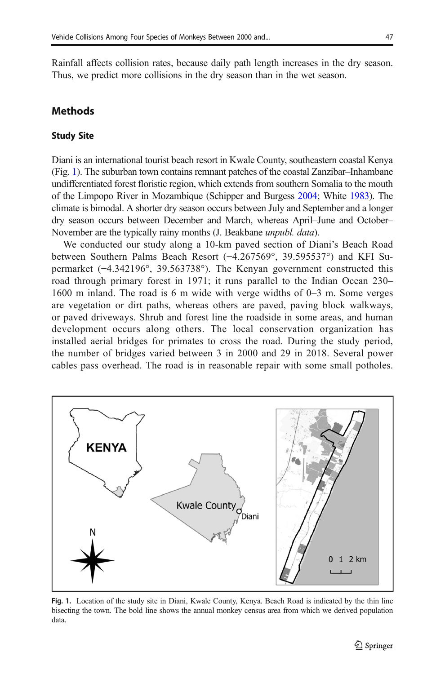Rainfall affects collision rates, because daily path length increases in the dry season. Thus, we predict more collisions in the dry season than in the wet season.

# **Methods**

#### Study Site

Diani is an international tourist beach resort in Kwale County, southeastern coastal Kenya (Fig. 1). The suburban town contains remnant patches of the coastal Zanzibar–Inhambane undifferentiated forest floristic region, which extends from southern Somalia to the mouth of the Limpopo River in Mozambique (Schipper and Burgess [2004](#page-14-0); White [1983\)](#page-15-0). The climate is bimodal. A shorter dry season occurs between July and September and a longer dry season occurs between December and March, whereas April–June and October– November are the typically rainy months (J. Beakbane unpubl. data).

We conducted our study along a 10-km paved section of Diani's Beach Road between Southern Palms Beach Resort (−4.267569°, 39.595537°) and KFI Supermarket (−4.342196°, 39.563738°). The Kenyan government constructed this road through primary forest in 1971; it runs parallel to the Indian Ocean 230– 1600 m inland. The road is 6 m wide with verge widths of 0–3 m. Some verges are vegetation or dirt paths, whereas others are paved, paving block walkways, or paved driveways. Shrub and forest line the roadside in some areas, and human development occurs along others. The local conservation organization has installed aerial bridges for primates to cross the road. During the study period, the number of bridges varied between 3 in 2000 and 29 in 2018. Several power cables pass overhead. The road is in reasonable repair with some small potholes.



Fig. 1. Location of the study site in Diani, Kwale County, Kenya. Beach Road is indicated by the thin line bisecting the town. The bold line shows the annual monkey census area from which we derived population data.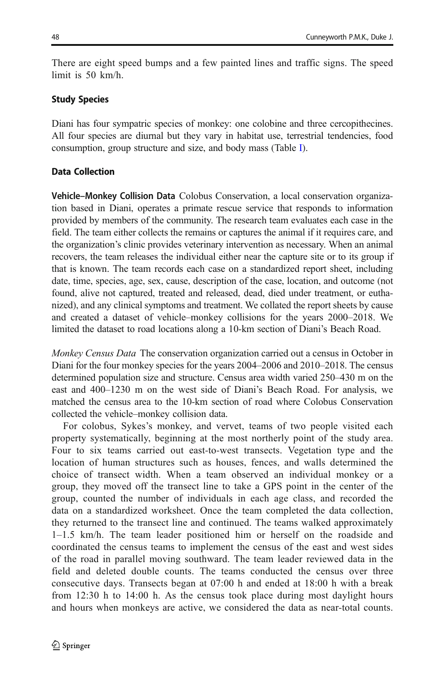There are eight speed bumps and a few painted lines and traffic signs. The speed limit is 50 km/h.

# Study Species

Diani has four sympatric species of monkey: one colobine and three cercopithecines. All four species are diurnal but they vary in habitat use, terrestrial tendencies, food consumption, group structure and size, and body mass (Table [I\)](#page-4-0).

# Data Collection

Vehicle–Monkey Collision Data Colobus Conservation, a local conservation organization based in Diani, operates a primate rescue service that responds to information provided by members of the community. The research team evaluates each case in the field. The team either collects the remains or captures the animal if it requires care, and the organization's clinic provides veterinary intervention as necessary. When an animal recovers, the team releases the individual either near the capture site or to its group if that is known. The team records each case on a standardized report sheet, including date, time, species, age, sex, cause, description of the case, location, and outcome (not found, alive not captured, treated and released, dead, died under treatment, or euthanized), and any clinical symptoms and treatment. We collated the report sheets by cause and created a dataset of vehicle–monkey collisions for the years 2000–2018. We limited the dataset to road locations along a 10-km section of Diani's Beach Road.

Monkey Census Data The conservation organization carried out a census in October in Diani for the four monkey species for the years 2004–2006 and 2010–2018. The census determined population size and structure. Census area width varied 250–430 m on the east and 400–1230 m on the west side of Diani's Beach Road. For analysis, we matched the census area to the 10-km section of road where Colobus Conservation collected the vehicle–monkey collision data.

For colobus, Sykes's monkey, and vervet, teams of two people visited each property systematically, beginning at the most northerly point of the study area. Four to six teams carried out east-to-west transects. Vegetation type and the location of human structures such as houses, fences, and walls determined the choice of transect width. When a team observed an individual monkey or a group, they moved off the transect line to take a GPS point in the center of the group, counted the number of individuals in each age class, and recorded the data on a standardized worksheet. Once the team completed the data collection, they returned to the transect line and continued. The teams walked approximately 1–1.5 km/h. The team leader positioned him or herself on the roadside and coordinated the census teams to implement the census of the east and west sides of the road in parallel moving southward. The team leader reviewed data in the field and deleted double counts. The teams conducted the census over three consecutive days. Transects began at 07:00 h and ended at 18:00 h with a break from 12:30 h to 14:00 h. As the census took place during most daylight hours and hours when monkeys are active, we considered the data as near-total counts.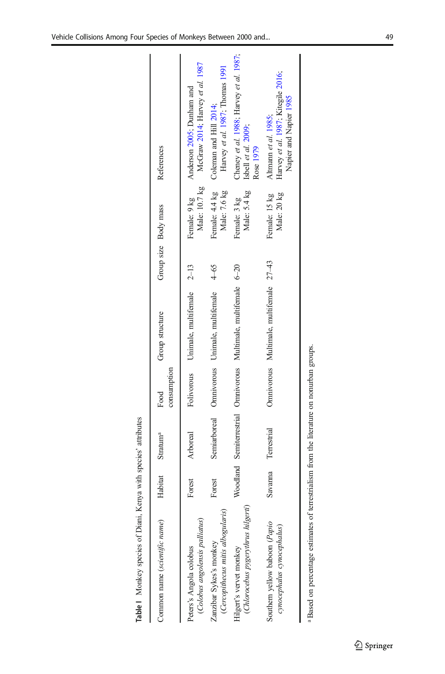Table | Monkey species of Diani, Kenya with species' attributes Table I Monkey species of Diani, Kenya with species' attributes

<span id="page-4-0"></span>

| Common name (scientific name)                                | Habitat | Stratum <sup>a</sup> | consumption<br>Food | Group structure                                                 | Group size Body mass |                                | References                                                                           |
|--------------------------------------------------------------|---------|----------------------|---------------------|-----------------------------------------------------------------|----------------------|--------------------------------|--------------------------------------------------------------------------------------|
| (Colobus angolensis palliatus)<br>Peters's Angola colobus    | Forest  | Arboreal             |                     | Folivorous Unimale, multifemale 2-13                            |                      | Male: 10.7 kg<br>Female: 9 kg  | McGraw 2014; Harvey et al. 1987<br>Anderson 2005; Dunham and                         |
| (Cercopithecus mitis albogularis)<br>Zanzibar Sykes's monkey | Forest  |                      |                     | Semiarboreal Omnivorous Unimale, multifemale                    | 4-65                 | Female: 4.4 kg<br>Male: 7.6 kg | Harvey et al. 1987; Thomas 1991<br>Coleman and Hill 2014;                            |
| (Chlorocebus pygerythrus hilgerti<br>Hilgert's vervet monkey |         |                      |                     | Woodland Semiterrestrial Omnivorous Multimale, multifemale 6-20 |                      | Male: 5.4 kg<br>Female: 3 kg   | Cheney et al. 1988; Harvey et al. 1987;<br>Isbell et al. 2009;<br>Rose 1979          |
| Southern yellow baboon (Papio<br>cynocephalus cynocephalus)  | Savanna | Terrestrial          |                     | Omnivorous Multimale, multifemale 27-43                         |                      | Male: 20 kg<br>Female: 15 kg   | Harvey et al. 1987; Kitegile 2016,<br>Napier and Napier 1985<br>Altmann et al. 1985; |
|                                                              |         |                      |                     |                                                                 |                      |                                |                                                                                      |

<sup>&</sup>lt;sup>a</sup> Based on percentage estimates of terrestrialism from the literature on nonurban groups. Based on percentage estimates of terrestrialism from the literature on nonurban groups.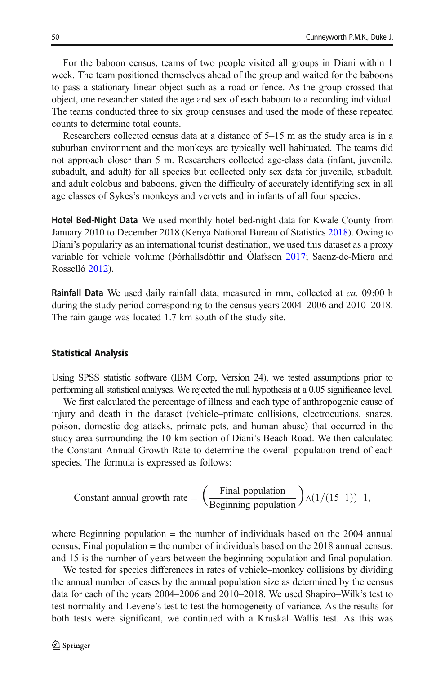For the baboon census, teams of two people visited all groups in Diani within 1 week. The team positioned themselves ahead of the group and waited for the baboons to pass a stationary linear object such as a road or fence. As the group crossed that object, one researcher stated the age and sex of each baboon to a recording individual. The teams conducted three to six group censuses and used the mode of these repeated counts to determine total counts.

Researchers collected census data at a distance of 5–15 m as the study area is in a suburban environment and the monkeys are typically well habituated. The teams did not approach closer than 5 m. Researchers collected age-class data (infant, juvenile, subadult, and adult) for all species but collected only sex data for juvenile, subadult, and adult colobus and baboons, given the difficulty of accurately identifying sex in all age classes of Sykes's monkeys and vervets and in infants of all four species.

Hotel Bed-Night Data We used monthly hotel bed-night data for Kwale County from January 2010 to December 2018 (Kenya National Bureau of Statistics [2018\)](#page-13-0). Owing to Diani's popularity as an international tourist destination, we used this dataset as a proxy variable for vehicle volume (Þórhallsdóttir and Ólafsson [2017;](#page-15-0) Saenz-de-Miera and Rosselló [2012\)](#page-14-0).

**Rainfall Data** We used daily rainfall data, measured in mm, collected at *ca*. 09:00 h during the study period corresponding to the census years 2004–2006 and 2010–2018. The rain gauge was located 1.7 km south of the study site.

#### Statistical Analysis

Using SPSS statistic software (IBM Corp, Version 24), we tested assumptions prior to performing all statistical analyses. We rejected the null hypothesis at a 0.05 significance level.

We first calculated the percentage of illness and each type of anthropogenic cause of injury and death in the dataset (vehicle–primate collisions, electrocutions, snares, poison, domestic dog attacks, primate pets, and human abuse) that occurred in the study area surrounding the 10 km section of Diani's Beach Road. We then calculated the Constant Annual Growth Rate to determine the overall population trend of each species. The formula is expressed as follows:

Constant annual growth rate = 
$$
\left(\frac{\text{Final population}}{\text{Beginning population}}\right) \land (1/(15-1))-1,
$$

where Beginning population  $=$  the number of individuals based on the 2004 annual census; Final population = the number of individuals based on the 2018 annual census; and 15 is the number of years between the beginning population and final population.

We tested for species differences in rates of vehicle–monkey collisions by dividing the annual number of cases by the annual population size as determined by the census data for each of the years 2004–2006 and 2010–2018. We used Shapiro–Wilk's test to test normality and Levene's test to test the homogeneity of variance. As the results for both tests were significant, we continued with a Kruskal–Wallis test. As this was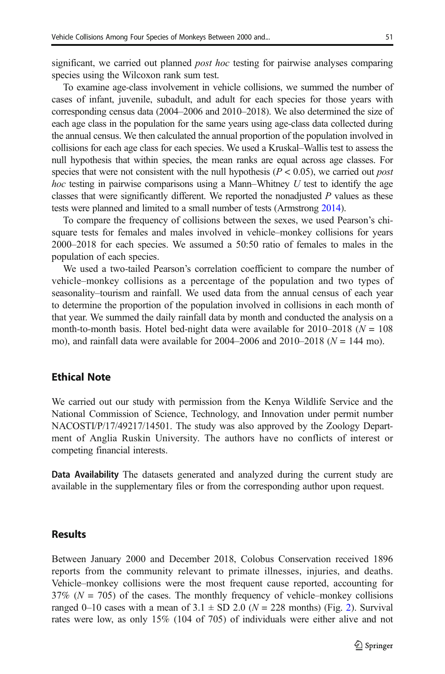significant, we carried out planned *post hoc* testing for pairwise analyses comparing species using the Wilcoxon rank sum test.

To examine age-class involvement in vehicle collisions, we summed the number of cases of infant, juvenile, subadult, and adult for each species for those years with corresponding census data (2004–2006 and 2010–2018). We also determined the size of each age class in the population for the same years using age-class data collected during the annual census. We then calculated the annual proportion of the population involved in collisions for each age class for each species. We used a Kruskal–Wallis test to assess the null hypothesis that within species, the mean ranks are equal across age classes. For species that were not consistent with the null hypothesis ( $P < 0.05$ ), we carried out *post hoc* testing in pairwise comparisons using a Mann–Whitney  $U$  test to identify the age classes that were significantly different. We reported the nonadjusted P values as these tests were planned and limited to a small number of tests (Armstrong [2014\)](#page-12-0).

To compare the frequency of collisions between the sexes, we used Pearson's chisquare tests for females and males involved in vehicle–monkey collisions for years 2000–2018 for each species. We assumed a 50:50 ratio of females to males in the population of each species.

We used a two-tailed Pearson's correlation coefficient to compare the number of vehicle–monkey collisions as a percentage of the population and two types of seasonality–tourism and rainfall. We used data from the annual census of each year to determine the proportion of the population involved in collisions in each month of that year. We summed the daily rainfall data by month and conducted the analysis on a month-to-month basis. Hotel bed-night data were available for  $2010-2018$  ( $N = 108$ ) mo), and rainfall data were available for  $2004-2006$  and  $2010-2018$  ( $N = 144$  mo).

# Ethical Note

We carried out our study with permission from the Kenya Wildlife Service and the National Commission of Science, Technology, and Innovation under permit number NACOSTI/P/17/49217/14501. The study was also approved by the Zoology Department of Anglia Ruskin University. The authors have no conflicts of interest or competing financial interests.

Data Availability The datasets generated and analyzed during the current study are available in the supplementary files or from the corresponding author upon request.

## **Results**

Between January 2000 and December 2018, Colobus Conservation received 1896 reports from the community relevant to primate illnesses, injuries, and deaths. Vehicle–monkey collisions were the most frequent cause reported, accounting for  $37\%$  ( $N = 705$ ) of the cases. The monthly frequency of vehicle–monkey collisions ranged 0–10 cases with a mean of 3.1  $\pm$  SD 2.0 (N = 228 months) (Fig. [2\)](#page-7-0). Survival rates were low, as only 15% (104 of 705) of individuals were either alive and not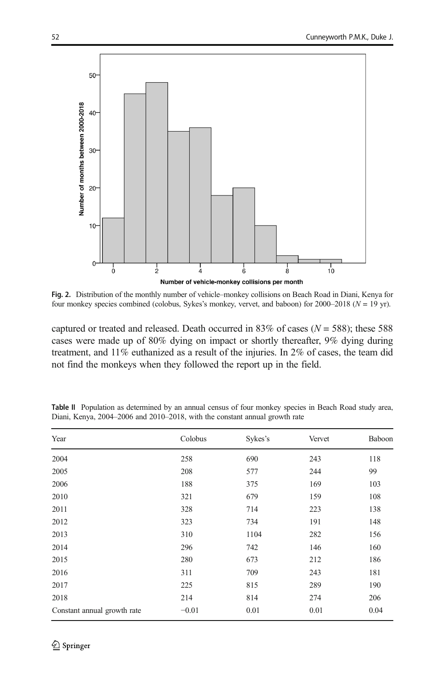<span id="page-7-0"></span>

Fig. 2. Distribution of the monthly number of vehicle–monkey collisions on Beach Road in Diani, Kenya for four monkey species combined (colobus, Sykes's monkey, vervet, and baboon) for  $2000-2018$  ( $N = 19$  yr).

captured or treated and released. Death occurred in 83% of cases ( $N = 588$ ); these 588 cases were made up of 80% dying on impact or shortly thereafter, 9% dying during treatment, and 11% euthanized as a result of the injuries. In 2% of cases, the team did not find the monkeys when they followed the report up in the field.

| Year                        | Colobus | Sykes's | Vervet | Baboon |
|-----------------------------|---------|---------|--------|--------|
| 2004                        | 258     | 690     | 243    | 118    |
| 2005                        | 208     | 577     | 244    | 99     |
| 2006                        | 188     | 375     | 169    | 103    |
| 2010                        | 321     | 679     | 159    | 108    |
| 2011                        | 328     | 714     | 223    | 138    |
| 2012                        | 323     | 734     | 191    | 148    |
| 2013                        | 310     | 1104    | 282    | 156    |
| 2014                        | 296     | 742     | 146    | 160    |
| 2015                        | 280     | 673     | 212    | 186    |
| 2016                        | 311     | 709     | 243    | 181    |
| 2017                        | 225     | 815     | 289    | 190    |
| 2018                        | 214     | 814     | 274    | 206    |
| Constant annual growth rate | $-0.01$ | 0.01    | 0.01   | 0.04   |

Table II Population as determined by an annual census of four monkey species in Beach Road study area, Diani, Kenya, 2004–2006 and 2010–2018, with the constant annual growth rate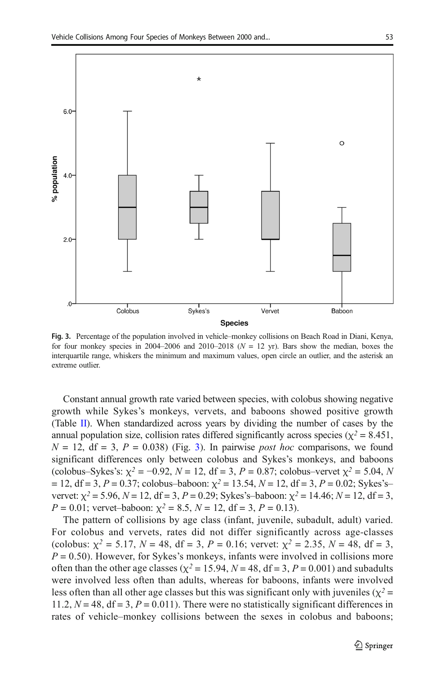

Fig. 3. Percentage of the population involved in vehicle–monkey collisions on Beach Road in Diani, Kenya, for four monkey species in 2004–2006 and 2010–2018 ( $N = 12$  yr). Bars show the median, boxes the interquartile range, whiskers the minimum and maximum values, open circle an outlier, and the asterisk an extreme outlier.

Constant annual growth rate varied between species, with colobus showing negative growth while Sykes's monkeys, vervets, and baboons showed positive growth (Table [II\)](#page-7-0). When standardized across years by dividing the number of cases by the annual population size, collision rates differed significantly across species ( $\chi^2$  = 8.451,  $N = 12$ , df = 3,  $P = 0.038$ ) (Fig. 3). In pairwise *post hoc* comparisons, we found significant differences only between colobus and Sykes's monkeys, and baboons (colobus–Sykes's:  $\chi^2 = -0.92$ ,  $N = 12$ , df = 3,  $P = 0.87$ ; colobus–vervet  $\chi^2 = 5.04$ , N  $= 12$ , df = 3, P = 0.37; colobus–baboon:  $\chi^2 = 13.54$ , N = 12, df = 3, P = 0.02; Sykes's– vervet:  $\chi^2 = 5.96$ ,  $N = 12$ , df = 3, P = 0.29; Sykes's-baboon:  $\chi^2 = 14.46$ ; N = 12, df = 3,  $P = 0.01$ ; vervet-baboon:  $\chi^2 = 8.5$ ,  $N = 12$ , df = 3,  $P = 0.13$ ).

The pattern of collisions by age class (infant, juvenile, subadult, adult) varied. For colobus and vervets, rates did not differ significantly across age-classes (colobus:  $\chi^2 = 5.17$ ,  $N = 48$ , df = 3,  $P = 0.16$ ; vervet:  $\chi^2 = 2.35$ ,  $N = 48$ , df = 3,  $P = 0.50$ ). However, for Sykes's monkeys, infants were involved in collisions more often than the other age classes ( $\chi^2$  = 15.94, N = 48, df = 3, P = 0.001) and subadults were involved less often than adults, whereas for baboons, infants were involved less often than all other age classes but this was significant only with juveniles ( $\chi^2$  = 11.2,  $N = 48$ ,  $df = 3$ ,  $P = 0.011$ ). There were no statistically significant differences in rates of vehicle–monkey collisions between the sexes in colobus and baboons;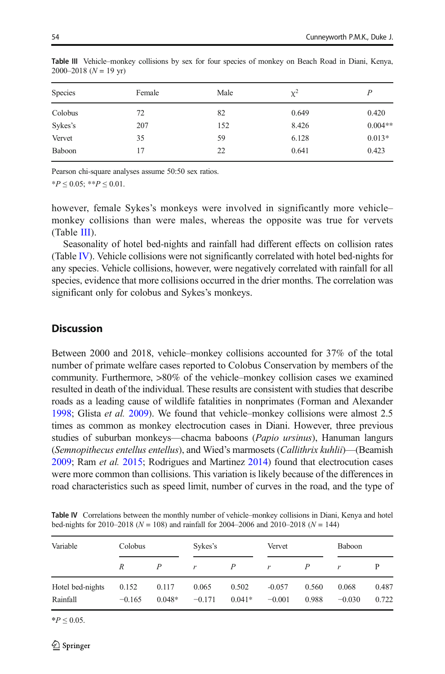| <b>Species</b> | Female | Male | $\chi^2$ | P         |
|----------------|--------|------|----------|-----------|
| Colobus        | 72     | 82   | 0.649    | 0.420     |
| Sykes's        | 207    | 152  | 8.426    | $0.004**$ |
| Vervet         | 35     | 59   | 6.128    | $0.013*$  |
| Baboon         | 17     | 22   | 0.641    | 0.423     |

Table III Vehicle–monkey collisions by sex for four species of monkey on Beach Road in Diani, Kenya,  $2000-2018$  ( $N = 19$  yr)

Pearson chi-square analyses assume 50:50 sex ratios.

 $*P \leq 0.05$ ;  $**P \leq 0.01$ .

however, female Sykes's monkeys were involved in significantly more vehicle– monkey collisions than were males, whereas the opposite was true for vervets (Table III).

Seasonality of hotel bed-nights and rainfall had different effects on collision rates (Table IV). Vehicle collisions were not significantly correlated with hotel bed-nights for any species. Vehicle collisions, however, were negatively correlated with rainfall for all species, evidence that more collisions occurred in the drier months. The correlation was significant only for colobus and Sykes's monkeys.

## **Discussion**

Between 2000 and 2018, vehicle–monkey collisions accounted for 37% of the total number of primate welfare cases reported to Colobus Conservation by members of the community. Furthermore, >80% of the vehicle–monkey collision cases we examined resulted in death of the individual. These results are consistent with studies that describe roads as a leading cause of wildlife fatalities in nonprimates (Forman and Alexander [1998;](#page-13-0) Glista et al. [2009\)](#page-13-0). We found that vehicle–monkey collisions were almost 2.5 times as common as monkey electrocution cases in Diani. However, three previous studies of suburban monkeys—chacma baboons (Papio ursinus), Hanuman langurs (Semnopithecus entellus entellus), and Wied's marmosets (Callithrix kuhlii)—(Beamish [2009;](#page-12-0) Ram et al. [2015;](#page-14-0) Rodrigues and Martinez [2014\)](#page-14-0) found that electrocution cases were more common than collisions. This variation is likely because of the differences in road characteristics such as speed limit, number of curves in the road, and the type of

Table IV Correlations between the monthly number of vehicle–monkey collisions in Diani, Kenya and hotel bed-nights for 2010–2018 ( $N = 108$ ) and rainfall for 2004–2006 and 2010–2018 ( $N = 144$ )

| Variable                     | Colobus           |                   | Sykes's           |                   |                      | Vervet         |                   | Baboon         |  |
|------------------------------|-------------------|-------------------|-------------------|-------------------|----------------------|----------------|-------------------|----------------|--|
|                              | R                 |                   | r                 | P                 | r                    | P              | r                 |                |  |
| Hotel bed-nights<br>Rainfall | 0.152<br>$-0.165$ | 0.117<br>$0.048*$ | 0.065<br>$-0.171$ | 0.502<br>$0.041*$ | $-0.057$<br>$-0.001$ | 0.560<br>0.988 | 0.068<br>$-0.030$ | 0.487<br>0.722 |  |

 $*P$  ≤ 0.05.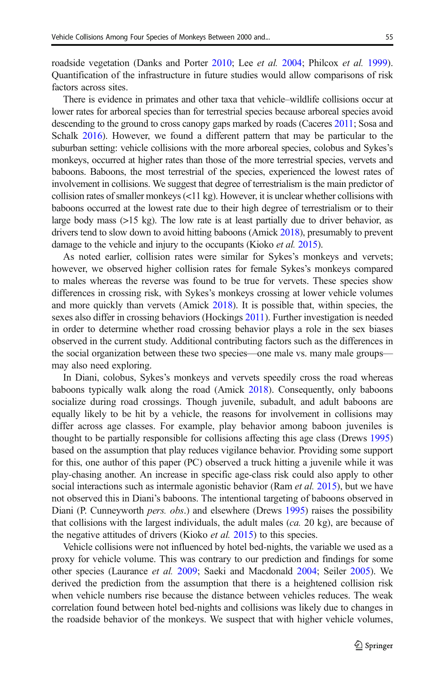roadside vegetation (Danks and Porter [2010;](#page-13-0) Lee et al. [2004](#page-14-0); Philcox et al. [1999\)](#page-14-0). Quantification of the infrastructure in future studies would allow comparisons of risk factors across sites.

There is evidence in primates and other taxa that vehicle–wildlife collisions occur at lower rates for arboreal species than for terrestrial species because arboreal species avoid descending to the ground to cross canopy gaps marked by roads (Caceres [2011](#page-12-0); Sosa and Schalk [2016](#page-15-0)). However, we found a different pattern that may be particular to the suburban setting: vehicle collisions with the more arboreal species, colobus and Sykes's monkeys, occurred at higher rates than those of the more terrestrial species, vervets and baboons. Baboons, the most terrestrial of the species, experienced the lowest rates of involvement in collisions. We suggest that degree of terrestrialism is the main predictor of collision rates of smaller monkeys  $\left( \langle 11 \text{ kg} \rangle \right)$ . However, it is unclear whether collisions with baboons occurred at the lowest rate due to their high degree of terrestrialism or to their large body mass (>15 kg). The low rate is at least partially due to driver behavior, as drivers tend to slow down to avoid hitting baboons (Amick [2018](#page-12-0)), presumably to prevent damage to the vehicle and injury to the occupants (Kioko *et al.* [2015\)](#page-14-0).

As noted earlier, collision rates were similar for Sykes's monkeys and vervets; however, we observed higher collision rates for female Sykes's monkeys compared to males whereas the reverse was found to be true for vervets. These species show differences in crossing risk, with Sykes's monkeys crossing at lower vehicle volumes and more quickly than vervets (Amick [2018\)](#page-12-0). It is possible that, within species, the sexes also differ in crossing behaviors (Hockings [2011\)](#page-13-0). Further investigation is needed in order to determine whether road crossing behavior plays a role in the sex biases observed in the current study. Additional contributing factors such as the differences in the social organization between these two species—one male vs. many male groups may also need exploring.

In Diani, colobus, Sykes's monkeys and vervets speedily cross the road whereas baboons typically walk along the road (Amick [2018](#page-12-0)). Consequently, only baboons socialize during road crossings. Though juvenile, subadult, and adult baboons are equally likely to be hit by a vehicle, the reasons for involvement in collisions may differ across age classes. For example, play behavior among baboon juveniles is thought to be partially responsible for collisions affecting this age class (Drews [1995](#page-13-0)) based on the assumption that play reduces vigilance behavior. Providing some support for this, one author of this paper (PC) observed a truck hitting a juvenile while it was play-chasing another. An increase in specific age-class risk could also apply to other social interactions such as intermale agonistic behavior (Ram *et al.* [2015\)](#page-14-0), but we have not observed this in Diani's baboons. The intentional targeting of baboons observed in Diani (P. Cunneyworth *pers. obs.*) and elsewhere (Drews [1995](#page-13-0)) raises the possibility that collisions with the largest individuals, the adult males  $(ca. 20 kg)$ , are because of the negative attitudes of drivers (Kioko *et al.* [2015](#page-14-0)) to this species.

Vehicle collisions were not influenced by hotel bed-nights, the variable we used as a proxy for vehicle volume. This was contrary to our prediction and findings for some other species (Laurance et al. [2009;](#page-14-0) Saeki and Macdonald [2004;](#page-14-0) Seiler [2005\)](#page-15-0). We derived the prediction from the assumption that there is a heightened collision risk when vehicle numbers rise because the distance between vehicles reduces. The weak correlation found between hotel bed-nights and collisions was likely due to changes in the roadside behavior of the monkeys. We suspect that with higher vehicle volumes,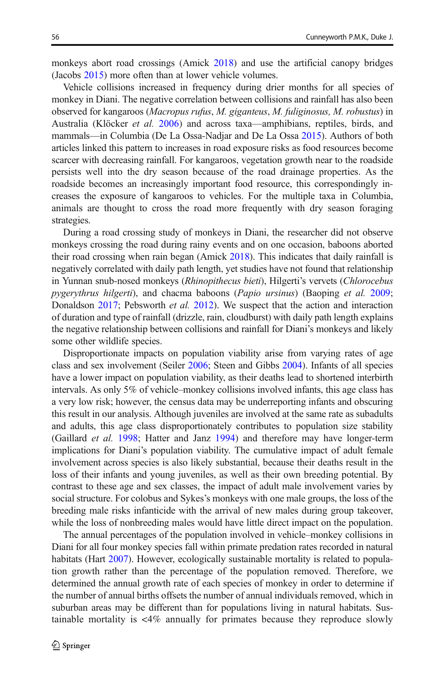monkeys abort road crossings (Amick [2018\)](#page-12-0) and use the artificial canopy bridges (Jacobs [2015\)](#page-13-0) more often than at lower vehicle volumes.

Vehicle collisions increased in frequency during drier months for all species of monkey in Diani. The negative correlation between collisions and rainfall has also been observed for kangaroos (Macropus rufus, M. giganteus, M. fuliginosus, M. robustus) in Australia (Klöcker et al. [2006\)](#page-14-0) and across taxa—amphibians, reptiles, birds, and mammals—in Columbia (De La Ossa-Nadjar and De La Ossa [2015](#page-13-0)). Authors of both articles linked this pattern to increases in road exposure risks as food resources become scarcer with decreasing rainfall. For kangaroos, vegetation growth near to the roadside persists well into the dry season because of the road drainage properties. As the roadside becomes an increasingly important food resource, this correspondingly increases the exposure of kangaroos to vehicles. For the multiple taxa in Columbia, animals are thought to cross the road more frequently with dry season foraging strategies.

During a road crossing study of monkeys in Diani, the researcher did not observe monkeys crossing the road during rainy events and on one occasion, baboons aborted their road crossing when rain began (Amick [2018\)](#page-12-0). This indicates that daily rainfall is negatively correlated with daily path length, yet studies have not found that relationship in Yunnan snub-nosed monkeys (Rhinopithecus bieti), Hilgerti's vervets (Chlorocebus pygerythrus hilgerti), and chacma baboons (Papio ursinus) (Baoping et al. [2009;](#page-12-0) Donaldson [2017](#page-13-0); Pebsworth *et al.* [2012](#page-14-0)). We suspect that the action and interaction of duration and type of rainfall (drizzle, rain, cloudburst) with daily path length explains the negative relationship between collisions and rainfall for Diani's monkeys and likely some other wildlife species.

Disproportionate impacts on population viability arise from varying rates of age class and sex involvement (Seiler [2006](#page-15-0); Steen and Gibbs [2004](#page-15-0)). Infants of all species have a lower impact on population viability, as their deaths lead to shortened interbirth intervals. As only 5% of vehicle–monkey collisions involved infants, this age class has a very low risk; however, the census data may be underreporting infants and obscuring this result in our analysis. Although juveniles are involved at the same rate as subadults and adults, this age class disproportionately contributes to population size stability (Gaillard et al. [1998](#page-13-0); Hatter and Janz [1994](#page-13-0)) and therefore may have longer-term implications for Diani's population viability. The cumulative impact of adult female involvement across species is also likely substantial, because their deaths result in the loss of their infants and young juveniles, as well as their own breeding potential. By contrast to these age and sex classes, the impact of adult male involvement varies by social structure. For colobus and Sykes's monkeys with one male groups, the loss of the breeding male risks infanticide with the arrival of new males during group takeover, while the loss of nonbreeding males would have little direct impact on the population.

The annual percentages of the population involved in vehicle–monkey collisions in Diani for all four monkey species fall within primate predation rates recorded in natural habitats (Hart [2007\)](#page-13-0). However, ecologically sustainable mortality is related to population growth rather than the percentage of the population removed. Therefore, we determined the annual growth rate of each species of monkey in order to determine if the number of annual births offsets the number of annual individuals removed, which in suburban areas may be different than for populations living in natural habitats. Sustainable mortality is <4% annually for primates because they reproduce slowly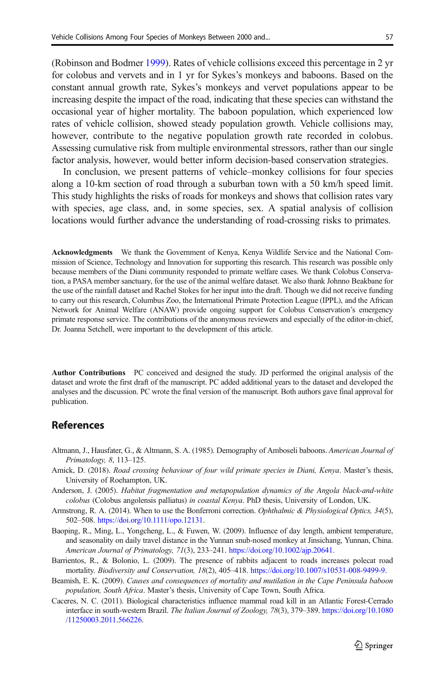<span id="page-12-0"></span>(Robinson and Bodmer [1999](#page-14-0)). Rates of vehicle collisions exceed this percentage in 2 yr for colobus and vervets and in 1 yr for Sykes's monkeys and baboons. Based on the constant annual growth rate, Sykes's monkeys and vervet populations appear to be increasing despite the impact of the road, indicating that these species can withstand the occasional year of higher mortality. The baboon population, which experienced low rates of vehicle collision, showed steady population growth. Vehicle collisions may, however, contribute to the negative population growth rate recorded in colobus. Assessing cumulative risk from multiple environmental stressors, rather than our single factor analysis, however, would better inform decision-based conservation strategies.

In conclusion, we present patterns of vehicle–monkey collisions for four species along a 10-km section of road through a suburban town with a 50 km/h speed limit. This study highlights the risks of roads for monkeys and shows that collision rates vary with species, age class, and, in some species, sex. A spatial analysis of collision locations would further advance the understanding of road-crossing risks to primates.

Acknowledgments We thank the Government of Kenya, Kenya Wildlife Service and the National Commission of Science, Technology and Innovation for supporting this research. This research was possible only because members of the Diani community responded to primate welfare cases. We thank Colobus Conservation, a PASA member sanctuary, for the use of the animal welfare dataset. We also thank Johnno Beakbane for the use of the rainfall dataset and Rachel Stokes for her input into the draft. Though we did not receive funding to carry out this research, Columbus Zoo, the International Primate Protection League (IPPL), and the African Network for Animal Welfare (ANAW) provide ongoing support for Colobus Conservation's emergency primate response service. The contributions of the anonymous reviewers and especially of the editor-in-chief, Dr. Joanna Setchell, were important to the development of this article.

Author Contributions PC conceived and designed the study. JD performed the original analysis of the dataset and wrote the first draft of the manuscript. PC added additional years to the dataset and developed the analyses and the discussion. PC wrote the final version of the manuscript. Both authors gave final approval for publication.

# References

- Altmann, J., Hausfater, G., & Altmann, S. A. (1985). Demography of Amboseli baboons. American Journal of Primatology, 8, 113–125.
- Amick, D. (2018). Road crossing behaviour of four wild primate species in Diani, Kenya. Master's thesis, University of Roehampton, UK.
- Anderson, J. (2005). Habitat fragmentation and metapopulation dynamics of the Angola black-and-white colobus (Colobus angolensis palliatus) in coastal Kenya. PhD thesis, University of London, UK.
- Armstrong, R. A. (2014). When to use the Bonferroni correction. Ophthalmic & Physiological Optics, 34(5), 502–508. [https://doi.org/10.1111/opo.12131.](https://doi.org/10.1111/opo.12131)
- Baoping, R., Ming, L., Yongcheng, L., & Fuwen, W. (2009). Influence of day length, ambient temperature, and seasonality on daily travel distance in the Yunnan snub-nosed monkey at Jinsichang, Yunnan, China. American Journal of Primatology, 71(3), 233–241. [https://doi.org/10.1002/ajp.20641.](https://doi.org/10.1002/ajp.20641)
- Barrientos, R., & Bolonio, L. (2009). The presence of rabbits adjacent to roads increases polecat road mortality. Biodiversity and Conservation, 18(2), 405–418. <https://doi.org/10.1007/s10531-008-9499-9>.
- Beamish, E. K. (2009). Causes and consequences of mortality and mutilation in the Cape Peninsula baboon population, South Africa. Master's thesis, University of Cape Town, South Africa.
- Caceres, N. C. (2011). Biological characteristics influence mammal road kill in an Atlantic Forest-Cerrado interface in south-western Brazil. The Italian Journal of Zoology, 78(3), 379–389. [https://doi.org/10.1080](https://doi.org/10.1080/11250003.2011.566226) [/11250003.2011.566226](https://doi.org/10.1080/11250003.2011.566226).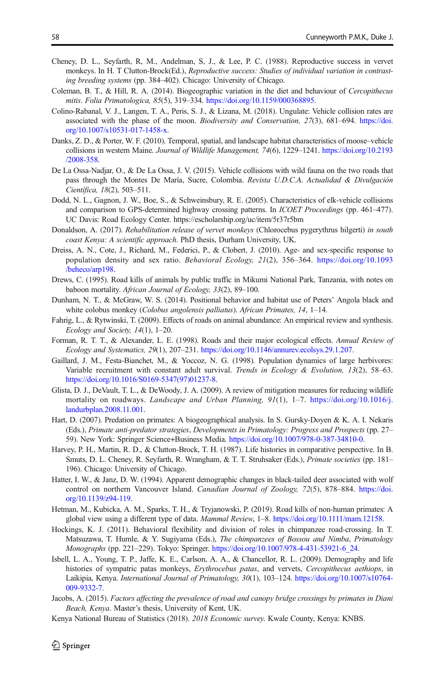- <span id="page-13-0"></span>Cheney, D. L., Seyfarth, R, M., Andelman, S, J., & Lee, P. C. (1988). Reproductive success in vervet monkeys. In H. T Clutton-Brock(Ed.), Reproductive success: Studies of individual variation in contrasting breeding systems (pp. 384–402). Chicago: University of Chicago.
- Coleman, B. T., & Hill, R. A. (2014). Biogeographic variation in the diet and behaviour of Cercopithecus mitis. Folia Primatologica, 85(5), 319–334. <https://doi.org/10.1159/000368895>.
- Colino-Rabanal, V. J., Langen, T. A., Peris, S. J., & Lizana, M. (2018). Ungulate: Vehicle collision rates are associated with the phase of the moon. Biodiversity and Conservation, 27(3), 681–694. [https://doi.](https://doi.org/10.1007/s10531-017-1458-x) [org/10.1007/s10531-017-1458-x](https://doi.org/10.1007/s10531-017-1458-x).
- Danks, Z. D., & Porter, W. F. (2010). Temporal, spatial, and landscape habitat characteristics of moose–vehicle collisions in western Maine. Journal of Wildlife Management, 74(6), 1229–1241. [https://doi.org/10.2193](https://doi.org/10.2193/2008-358) [/2008-358.](https://doi.org/10.2193/2008-358)
- De La Ossa-Nadjar, O., & De La Ossa, J. V. (2015). Vehicle collisions with wild fauna on the two roads that pass through the Montes De María, Sucre, Colombia. Revista U.D.C.A. Actualidad & Divulgación Científica, 18(2), 503–511.
- Dodd, N. L., Gagnon, J. W., Boe, S., & Schweinsbury, R. E. (2005). Characteristics of elk-vehicle collisions and comparison to GPS-determined highway crossing patterns. In *ICOET Proceedings* (pp. 461–477). UC Davis: Road Ecology Center. https://escholarship.org/uc/item/5r37r5bm
- Donaldson, A. (2017). Rehabilitation release of vervet monkeys (Chlorocebus pygerythrus hilgerti) in south coast Kenya: A scientific approach. PhD thesis, Durham University, UK.
- Dreiss, A. N., Cote, J., Richard, M., Federici, P., & Clobert, J. (2010). Age- and sex-specific response to population density and sex ratio. Behavioral Ecology, 21(2), 356–364. [https://doi.org/10.1093](https://doi.org/10.1093/beheco/arp198) [/beheco/arp198](https://doi.org/10.1093/beheco/arp198).
- Drews, C. (1995). Road kills of animals by public traffic in Mikumi National Park, Tanzania, with notes on baboon mortality. African Journal of Ecology, 33(2), 89–100.
- Dunham, N. T., & McGraw, W. S. (2014). Positional behavior and habitat use of Peters' Angola black and white colobus monkey (Colobus angolensis palliatus). African Primates, 14, 1-14.
- Fahrig, L., & Rytwinski, T. (2009). Effects of roads on animal abundance: An empirical review and synthesis. Ecology and Society, 14(1), 1–20.
- Forman, R. T. T., & Alexander, L. E. (1998). Roads and their major ecological effects. Annual Review of Ecology and Systematics, 29(1), 207–231. [https://doi.org/10.1146/annurev.ecolsys.29.1.207.](https://doi.org/10.1146/annurev.ecolsys.29.1.207)
- Gaillard, J. M., Festa-Bianchet, M., & Yoccoz, N. G. (1998). Population dynamics of large herbivores: Variable recruitment with constant adult survival. Trends in Ecology & Evolution, 13(2), 58–63. [https://doi.org/10.1016/S0169-5347\(97\)01237-8](https://doi.org/10.1016/S0169-5347(97)01237-8).
- Glista, D. J., DeVault, T. L., & DeWoody, J. A. (2009). A review of mitigation measures for reducing wildlife mortality on roadways. Landscape and Urban Planning, 91(1), 1–7. [https://doi.org/10.1016/j.](https://doi.org/10.1016/j.landurbplan.2008.11.001) [landurbplan.2008.11.001.](https://doi.org/10.1016/j.landurbplan.2008.11.001)
- Hart, D. (2007). Predation on primates: A biogeographical analysis. In S. Gursky-Doyen & K. A. I. Nekaris (Eds.), Primate anti-predator strategies, Developments in Primatology: Progress and Prospects (pp. 27– 59). New York: Springer Science+Business Media. [https://doi.org/10.1007/978-0-387-34810-0.](https://doi.org/10.1007/978-0-387-34810-0)
- Harvey, P. H., Martin, R. D., & Clutton-Brock, T. H. (1987). Life histories in comparative perspective. In B. Smuts, D. L. Cheney, R. Seyfarth, R. Wrangham, & T. T. Struhsaker (Eds.), Primate societies (pp. 181– 196). Chicago: University of Chicago.
- Hatter, I. W., & Janz, D. W. (1994). Apparent demographic changes in black-tailed deer associated with wolf control on northern Vancouver Island. Canadian Journal of Zoology, 72(5), 878–884. [https://doi.](https://doi.org/10.1139/z94-119) [org/10.1139/z94-119](https://doi.org/10.1139/z94-119).
- Hetman, M., Kubicka, A. M., Sparks, T. H., & Tryjanowski, P. (2019). Road kills of non-human primates: A global view using a different type of data. Mammal Review, 1–8. [https://doi.org/10.1111/mam.12158.](https://doi.org/10.1111/mam.12158)
- Hockings, K. J. (2011). Behavioral flexibility and division of roles in chimpanzee road-crossing. In T. Matsuzawa, T. Humle, & Y. Sugiyama (Eds.), The chimpanzees of Bossou and Nimba, Primatology Monographs (pp. 221–229). Tokyo: Springer. [https://doi.org/10.1007/978-4-431-53921-6\\_24](https://doi.org/10.1007/978-4-431-53921-6_24).
- Isbell, L. A., Young, T. P., Jaffe, K. E., Carlson, A. A., & Chancellor, R. L. (2009). Demography and life histories of sympatric patas monkeys, Erythrocebus patas, and vervets, Cercopithecus aethiops, in Laikipia, Kenya. International Journal of Primatology, 30(1), 103–124. [https://doi.org/10.1007/s10764-](https://doi.org/10.1007/s10764-009-9332-7) [009-9332-7.](https://doi.org/10.1007/s10764-009-9332-7)
- Jacobs, A. (2015). Factors affecting the prevalence of road and canopy bridge crossings by primates in Diani Beach, Kenya. Master's thesis, University of Kent, UK.
- Kenya National Bureau of Statistics (2018). 2018 Economic survey. Kwale County, Kenya: KNBS.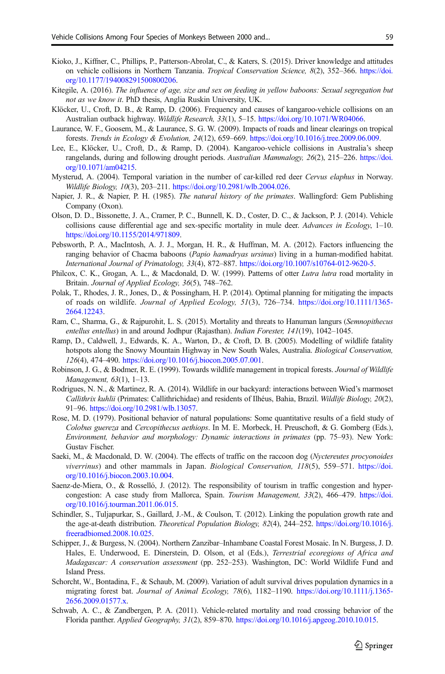- <span id="page-14-0"></span>Kioko, J., Kiffner, C., Phillips, P., Patterson-Abrolat, C., & Katers, S. (2015). Driver knowledge and attitudes on vehicle collisions in Northern Tanzania. Tropical Conservation Science, 8(2), 352–366. [https://doi.](https://doi.org/10.1177/194008291500800206) [org/10.1177/194008291500800206.](https://doi.org/10.1177/194008291500800206)
- Kitegile, A. (2016). The influence of age, size and sex on feeding in vellow baboons: Sexual segregation but not as we know it. PhD thesis, Anglia Ruskin University, UK.
- Klöcker, U., Croft, D. B., & Ramp, D. (2006). Frequency and causes of kangaroo-vehicle collisions on an Australian outback highway. Wildlife Research, 33(1), 5–15. <https://doi.org/10.1071/WR04066>.
- Laurance, W. F., Goosem, M., & Laurance, S. G. W. (2009). Impacts of roads and linear clearings on tropical forests. Trends in Ecology & Evolution, 24(12), 659–669. [https://doi.org/10.1016/j.tree.2009.06.009.](https://doi.org/10.1016/j.tree.2009.06.009)
- Lee, E., Klöcker, U., Croft, D., & Ramp, D. (2004). Kangaroo-vehicle collisions in Australia's sheep rangelands, during and following drought periods. Australian Mammalogy, 26(2), 215–226. [https://doi.](https://doi.org/10.1071/am04215) [org/10.1071/am04215](https://doi.org/10.1071/am04215).
- Mysterud, A. (2004). Temporal variation in the number of car-killed red deer Cervus elaphus in Norway. Wildlife Biology, 10(3), 203–211. <https://doi.org/10.2981/wlb.2004.026>.
- Napier, J. R., & Napier, P. H. (1985). The natural history of the primates. Wallingford: Gem Publishing Company (Oxon).
- Olson, D. D., Bissonette, J. A., Cramer, P. C., Bunnell, K. D., Coster, D. C., & Jackson, P. J. (2014). Vehicle collisions cause differential age and sex-specific mortality in mule deer. Advances in Ecology, 1–10. [https://doi.org/10.1155/2014/971809.](https://doi.org/10.1155/2014/971809)
- Pebsworth, P. A., MacIntosh, A. J. J., Morgan, H. R., & Huffman, M. A. (2012). Factors influencing the ranging behavior of Chacma baboons (Papio hamadryas ursinus) living in a human-modified habitat. International Journal of Primatology, 33(4), 872–887. <https://doi.org/10.1007/s10764-012-9620-5>.
- Philcox, C. K., Grogan, A. L., & Macdonald, D. W. (1999). Patterns of otter Lutra lutra road mortality in Britain. Journal of Applied Ecology, 36(5), 748–762.
- Polak, T., Rhodes, J. R., Jones, D., & Possingham, H. P. (2014). Optimal planning for mitigating the impacts of roads on wildlife. Journal of Applied Ecology, 51(3), 726–734. [https://doi.org/10.1111/1365-](https://doi.org/10.1111/1365-2664.12243) [2664.12243.](https://doi.org/10.1111/1365-2664.12243)
- Ram, C., Sharma, G., & Rajpurohit, L. S. (2015). Mortality and threats to Hanuman langurs (Semnopithecus entellus entellus) in and around Jodhpur (Rajasthan). Indian Forester, 141(19), 1042–1045.
- Ramp, D., Caldwell, J., Edwards, K. A., Warton, D., & Croft, D. B. (2005). Modelling of wildlife fatality hotspots along the Snowy Mountain Highway in New South Wales, Australia. Biological Conservation, 126(4), 474–490. [https://doi.org/10.1016/j.biocon.2005.07.001.](https://doi.org/10.1016/j.biocon.2005.07.001)
- Robinson, J. G., & Bodmer, R. E. (1999). Towards wildlife management in tropical forests. Journal of Wildlife Management, 63(1), 1–13.
- Rodrigues, N. N., & Martinez, R. A. (2014). Wildlife in our backyard: interactions between Wied's marmoset Callithrix kuhlii (Primates: Callithrichidae) and residents of Ilhéus, Bahia, Brazil. Wildlife Biology, 20(2), 91–96. <https://doi.org/10.2981/wlb.13057>.
- Rose, M. D. (1979). Positional behavior of natural populations: Some quantitative results of a field study of Colobus guereza and Cercopithecus aethiops. In M. E. Morbeck, H. Preuschoft, & G. Gomberg (Eds.), Environment, behavior and morphology: Dynamic interactions in primates (pp. 75–93). New York: Gustav Fischer.
- Saeki, M., & Macdonald, D. W. (2004). The effects of traffic on the raccoon dog (Nyctereutes procyonoides viverrinus) and other mammals in Japan. Biological Conservation, 118(5), 559–571. [https://doi.](https://doi.org/10.1016/j.biocon.2003.10.004) [org/10.1016/j.biocon.2003.10.004.](https://doi.org/10.1016/j.biocon.2003.10.004)
- Saenz-de-Miera, O., & Rosselló, J. (2012). The responsibility of tourism in traffic congestion and hypercongestion: A case study from Mallorca, Spain. Tourism Management, 33(2), 466–479. [https://doi.](https://doi.org/10.1016/j.tourman.2011.06.015) [org/10.1016/j.tourman.2011.06.015](https://doi.org/10.1016/j.tourman.2011.06.015).
- Schindler, S., Tuljapurkar, S., Gaillard, J.-M., & Coulson, T. (2012). Linking the population growth rate and the age-at-death distribution. Theoretical Population Biology, 82(4), 244–252. [https://doi.org/10.1016/j.](https://doi.org/10.1016/j.freeradbiomed.2008.10.025) [freeradbiomed.2008.10.025](https://doi.org/10.1016/j.freeradbiomed.2008.10.025).
- Schipper, J., & Burgess, N. (2004). Northern Zanzibar–Inhambane Coastal Forest Mosaic. In N. Burgess, J. D. Hales, E. Underwood, E. Dinerstein, D. Olson, et al (Eds.), Terrestrial ecoregions of Africa and Madagascar: A conservation assessment (pp. 252–253). Washington, DC: World Wildlife Fund and Island Press.
- Schorcht, W., Bontadina, F., & Schaub, M. (2009). Variation of adult survival drives population dynamics in a migrating forest bat. Journal of Animal Ecology, 78(6), 1182–1190. [https://doi.org/10.1111/j.1365-](https://doi.org/10.1111/j.1365-2656.2009.01577.x) [2656.2009.01577.x.](https://doi.org/10.1111/j.1365-2656.2009.01577.x)
- Schwab, A. C., & Zandbergen, P. A. (2011). Vehicle-related mortality and road crossing behavior of the Florida panther. Applied Geography, 31(2), 859–870. [https://doi.org/10.1016/j.apgeog.2010.10.015.](https://doi.org/10.1016/j.apgeog.2010.10.015)